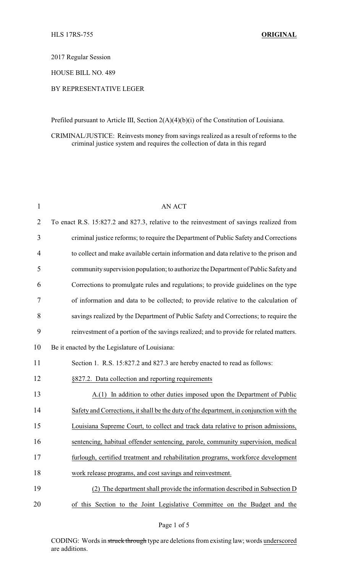2017 Regular Session

HOUSE BILL NO. 489

## BY REPRESENTATIVE LEGER

Prefiled pursuant to Article III, Section 2(A)(4)(b)(i) of the Constitution of Louisiana.

CRIMINAL/JUSTICE: Reinvests money from savings realized as a result of reforms to the criminal justice system and requires the collection of data in this regard

| $\mathbf{1}$   | <b>AN ACT</b>                                                                           |
|----------------|-----------------------------------------------------------------------------------------|
| $\overline{2}$ | To enact R.S. 15:827.2 and 827.3, relative to the reinvestment of savings realized from |
| 3              | criminal justice reforms; to require the Department of Public Safety and Corrections    |
| 4              | to collect and make available certain information and data relative to the prison and   |
| 5              | community supervision population; to authorize the Department of Public Safety and      |
| 6              | Corrections to promulgate rules and regulations; to provide guidelines on the type      |
| 7              | of information and data to be collected; to provide relative to the calculation of      |
| 8              | savings realized by the Department of Public Safety and Corrections; to require the     |
| 9              | reinvestment of a portion of the savings realized; and to provide for related matters.  |
| 10             | Be it enacted by the Legislature of Louisiana:                                          |
| 11             | Section 1. R.S. 15:827.2 and 827.3 are hereby enacted to read as follows:               |
| 12             | §827.2. Data collection and reporting requirements                                      |
| 13             | $A(1)$ In addition to other duties imposed upon the Department of Public                |
| 14             | Safety and Corrections, it shall be the duty of the department, in conjunction with the |
| 15             | Louisiana Supreme Court, to collect and track data relative to prison admissions,       |
| 16             | sentencing, habitual offender sentencing, parole, community supervision, medical        |
| 17             | furlough, certified treatment and rehabilitation programs, workforce development        |
| 18             | work release programs, and cost savings and reinvestment.                               |
| 19             | (2) The department shall provide the information described in Subsection D              |
| 20             | of this Section to the Joint Legislative Committee on the Budget and the                |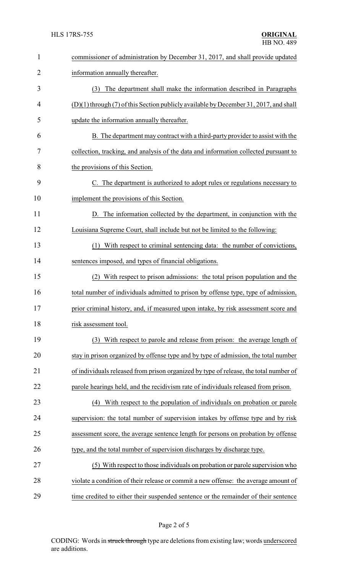| $\mathbf{1}$ | commissioner of administration by December 31, 2017, and shall provide updated          |
|--------------|-----------------------------------------------------------------------------------------|
| 2            | information annually thereafter.                                                        |
| 3            | The department shall make the information described in Paragraphs<br>(3)                |
| 4            | $(D)(1)$ through (7) of this Section publicly available by December 31, 2017, and shall |
| 5            | update the information annually thereafter.                                             |
| 6            | B. The department may contract with a third-party provider to assist with the           |
| 7            | collection, tracking, and analysis of the data and information collected pursuant to    |
| 8            | the provisions of this Section.                                                         |
| 9            | C. The department is authorized to adopt rules or regulations necessary to              |
| 10           | implement the provisions of this Section.                                               |
| 11           | D. The information collected by the department, in conjunction with the                 |
| 12           | Louisiana Supreme Court, shall include but not be limited to the following:             |
| 13           | With respect to criminal sentencing data: the number of convictions,<br>(1)             |
| 14           | sentences imposed, and types of financial obligations.                                  |
| 15           | With respect to prison admissions: the total prison population and the<br>(2)           |
| 16           | total number of individuals admitted to prison by offense type, type of admission,      |
| 17           | prior criminal history, and, if measured upon intake, by risk assessment score and      |
| 18           | risk assessment tool.                                                                   |
| 19           | (3) With respect to parole and release from prison: the average length of               |
| 20           | stay in prison organized by offense type and by type of admission, the total number     |
| 21           | of individuals released from prison organized by type of release, the total number of   |
| 22           | parole hearings held, and the recidivism rate of individuals released from prison.      |
| 23           | With respect to the population of individuals on probation or parole<br>(4)             |
| 24           | supervision: the total number of supervision intakes by offense type and by risk        |
| 25           | assessment score, the average sentence length for persons on probation by offense       |
| 26           | type, and the total number of supervision discharges by discharge type.                 |
| 27           | (5) With respect to those individuals on probation or parole supervision who            |
| 28           | violate a condition of their release or commit a new offense: the average amount of     |
| 29           | time credited to either their suspended sentence or the remainder of their sentence     |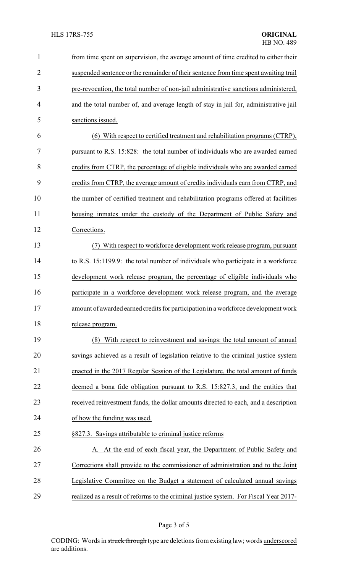| $\mathbf{1}$   | from time spent on supervision, the average amount of time credited to either their   |
|----------------|---------------------------------------------------------------------------------------|
| $\overline{2}$ | suspended sentence or the remainder of their sentence from time spent awaiting trail  |
| 3              | pre-revocation, the total number of non-jail administrative sanctions administered,   |
| 4              | and the total number of, and average length of stay in jail for, administrative jail  |
| 5              | sanctions issued.                                                                     |
| 6              | (6) With respect to certified treatment and rehabilitation programs (CTRP),           |
| 7              | pursuant to R.S. 15:828: the total number of individuals who are awarded earned       |
| 8              | credits from CTRP, the percentage of eligible individuals who are awarded earned      |
| 9              | credits from CTRP, the average amount of credits individuals earn from CTRP, and      |
| 10             | the number of certified treatment and rehabilitation programs offered at facilities   |
| 11             | housing inmates under the custody of the Department of Public Safety and              |
| 12             | Corrections.                                                                          |
| 13             | With respect to workforce development work release program, pursuant                  |
| 14             | to R.S. 15:1199.9: the total number of individuals who participate in a workforce     |
| 15             | development work release program, the percentage of eligible individuals who          |
| 16             | participate in a workforce development work release program, and the average          |
| 17             | amount of awarded earned credits for participation in a workforce development work    |
| 18             | release program.                                                                      |
| 19             | With respect to reinvestment and savings: the total amount of annual<br>(8)           |
| 20             | savings achieved as a result of legislation relative to the criminal justice system   |
| 21             | enacted in the 2017 Regular Session of the Legislature, the total amount of funds     |
| 22             | deemed a bona fide obligation pursuant to R.S. 15:827.3, and the entities that        |
| 23             | received reinvestment funds, the dollar amounts directed to each, and a description   |
| 24             | of how the funding was used.                                                          |
| 25             | §827.3. Savings attributable to criminal justice reforms                              |
| 26             | A. At the end of each fiscal year, the Department of Public Safety and                |
| 27             | Corrections shall provide to the commissioner of administration and to the Joint      |
| 28             | Legislative Committee on the Budget a statement of calculated annual savings          |
| 29             | realized as a result of reforms to the criminal justice system. For Fiscal Year 2017- |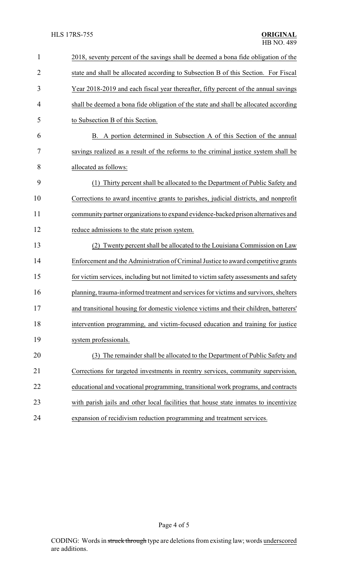| $\mathbf{1}$   | 2018, seventy percent of the savings shall be deemed a bona fide obligation of the     |  |
|----------------|----------------------------------------------------------------------------------------|--|
| $\overline{2}$ | state and shall be allocated according to Subsection B of this Section. For Fiscal     |  |
| 3              | Year 2018-2019 and each fiscal year thereafter, fifty percent of the annual savings    |  |
| $\overline{4}$ | shall be deemed a bona fide obligation of the state and shall be allocated according   |  |
| 5              | to Subsection B of this Section.                                                       |  |
| 6              | B. A portion determined in Subsection A of this Section of the annual                  |  |
| 7              | savings realized as a result of the reforms to the criminal justice system shall be    |  |
| 8              | allocated as follows:                                                                  |  |
| 9              | Thirty percent shall be allocated to the Department of Public Safety and<br>(1)        |  |
| 10             | Corrections to award incentive grants to parishes, judicial districts, and nonprofit   |  |
| 11             | community partner organizations to expand evidence-backed prison alternatives and      |  |
| 12             | reduce admissions to the state prison system.                                          |  |
| 13             | (2) Twenty percent shall be allocated to the Louisiana Commission on Law               |  |
| 14             | Enforcement and the Administration of Criminal Justice to award competitive grants     |  |
| 15             | for victim services, including but not limited to victim safety assessments and safety |  |
| 16             | planning, trauma-informed treatment and services for victims and survivors, shelters   |  |
| 17             | and transitional housing for domestic violence victims and their children, batterers'  |  |
| 18             | intervention programming, and victim-focused education and training for justice        |  |
| 19             | system professionals.                                                                  |  |
| 20             | (3) The remainder shall be allocated to the Department of Public Safety and            |  |
| 21             | Corrections for targeted investments in reentry services, community supervision,       |  |
| 22             | educational and vocational programming, transitional work programs, and contracts      |  |
| 23             | with parish jails and other local facilities that house state inmates to incentivize   |  |
| 24             | expansion of recidivism reduction programming and treatment services.                  |  |